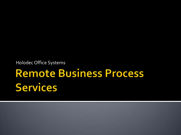Holodec Office Systems

# **Remote Business Process Services**

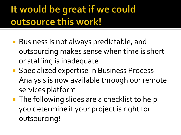## It would be great if we could outsource this work!

- Business is not always predictable, and outsourcing makes sense when time is short or staffing is inadequate
- **Specialized expertise in Business Process** Analysis is now available through our remote services platform
- **The following slides are a checklist to help** you determine if your project is right for outsourcing!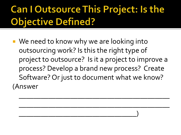## **Can I Outsource This Project: Is the Objective Defined?**

■ We need to know why we are looking into outsourcing work? Is this the right type of project to outsource? Is it a project to improve a process? Develop a brand new process? Create Software? Or just to document what we know? (Answer

 $\mathcal{L}_\text{max}$  and  $\mathcal{L}_\text{max}$  and  $\mathcal{L}_\text{max}$  and  $\mathcal{L}_\text{max}$  and  $\mathcal{L}_\text{max}$  and  $\mathcal{L}_\text{max}$ 

 $\mathcal{L}_\text{max}$  and  $\mathcal{L}_\text{max}$  and  $\mathcal{L}_\text{max}$  and  $\mathcal{L}_\text{max}$  and  $\mathcal{L}_\text{max}$  and  $\mathcal{L}_\text{max}$ 

 $\qquad \qquad \qquad \qquad \qquad \qquad$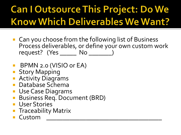# **Can I Outsource This Project: Do We Know Which Deliverables We Want?**

- Can you choose from the following list of Business Process deliverables, or define your own custom work request? (Yes \_\_\_\_\_\_ No \_\_\_\_\_\_\_)
- **BPMN 2.0 (VISIO or EA)**
- **Story Mapping**
- **Activity Diagrams**
- Database Schema
- **Use Case Diagrams**
- **Business Req. Document (BRD)**
- **User Stories**
- **Traceability Matrix**
- $\blacksquare$  Custom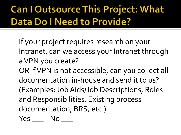## **Can I Outsource This Project: What Data Do I Need to Provide?**

If your project requires research on your Intranet, can we access your Intranet through a VPN you create?

OR If VPN is not accessible, can you collect all documentation in-house and send it to us? (Examples: Job Aids/Job Descriptions, Roles and Responsibilities, Existing process documentation, BRS, etc.)

Yes No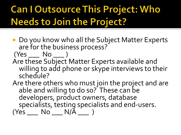### **Can I Outsource This Project: Who Needs to Join the Project?**

- Do you know who all the Subject Matter Experts are for the business process?
- (Yes \_\_\_ No \_\_\_ ) Are these Subject Matter Experts available and willing to add phone or skype interviews to their schedule?
- Are there others who must join the project and are able and willing to do so? These can be developers, product owners, database specialists, testing specialists and end-users.  $(Yes \_\_\_$  No  $\_\_$  N/ $\bar{A} \_\_$ )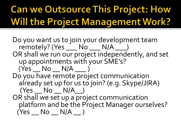# **Can we Outsource This Project: How Will the Project Management Work?**

Do you want us to join your development team remotely? (Yes  $\rule{1em}{}$  No  $\rule{1em}{}$  N/A  $\rule{1em}{}$ ) OR shall we run our project independently, and set up appointments with your SME's?  $(Yes$   $No$   $N/A$   $)$ Do you have remote project communication already set up for us to join? (e.g. Skype/JIRA)  $(Yes \_ No \_ N/A)$ OR shall we set up a project communication platform and be the Project Manager ourselves?  $(Yes \_ No \_ N/A )$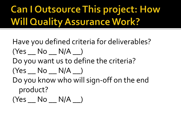### **Can I Outsource This project: How Will Quality Assurance Work?**

Have you defined criteria for deliverables?  $(Yes \_ No \_ N/A \_ )$ Do you want us to define the criteria?  $(Yes \_ No \_ N/A \_ )$ 

Do you know who will sign-off on the end product?

 $(Yes \_ No \_ N/A \_ )$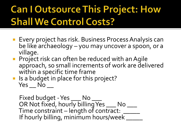#### **Can I Outsource This Project: How Shall We Control Costs?**

- **Exery project has risk. Business Process Analysis can** be like archaeology – you may uncover a spoon, or a village.
- **Project risk can often be reduced with an Agile** approach, so small increments of work are delivered within a specific time frame
- **If** Is a budget in place for this project?  $Yes$   $No$   $\_\_$

Fixed budget - Yes \_\_\_\_ No \_\_\_\_ OR Not fixed, hourly billing Yes \_\_\_\_ No \_\_\_\_ Time constraint – length of contract: \_\_\_\_ If hourly billing, minimum hours/week \_\_\_\_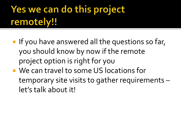# Yes we can do this project remotely!!

- **If you have answered all the questions so far,** you should know by now if the remote project option is right for you
- We can travel to some US locations for temporary site visits to gather requirements – let's talk about it!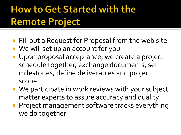## **How to Get Started with the Remote Project**

- **Fill out a Request for Proposal from the web site**
- We will set up an account for you
- **Upon proposal acceptance, we create a project** schedule together, exchange documents, set milestones, define deliverables and project scope
- We participate in work reviews with your subject matter experts to assure accuracy and quality
- **Project management software tracks everything** we do together